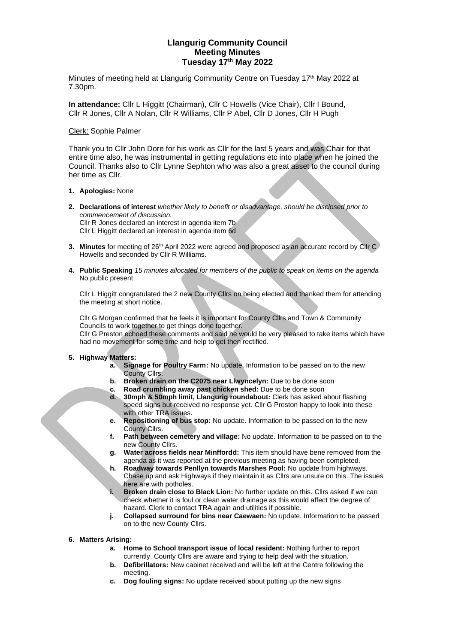# **Llangurig Community Council Meeting Minutes Tuesday 17th May 2022**

Minutes of meeting held at Llangurig Community Centre on Tuesday 17<sup>th</sup> May 2022 at 7.30pm.

**In attendance:** Cllr L Higgitt (Chairman), Cllr C Howells (Vice Chair), Cllr I Bound, Cllr R Jones, Cllr A Nolan, Cllr R Williams, Cllr P Abel, Cllr D Jones, Cllr H Pugh

#### Clerk: Sophie Palmer

Thank you to Cllr John Dore for his work as Cllr for the last 5 years and was Chair for that entire time also, he was instrumental in getting regulations etc into place when he joined the Council. Thanks also to Cllr Lynne Sephton who was also a great asset to the council during her time as Cllr.

## **1. Apologies:** None

**2. Declarations of interest** *whether likely to benefit or disadvantage, should be disclosed prior to commencement of discussion.*  Cllr R Jones declared an interest in agenda item 7b

Cllr L Higgitt declared an interest in agenda item 6d

- **3. Minutes** for meeting of 26<sup>th</sup> April 2022 were agreed and proposed as an accurate record by Cllr C Howells and seconded by Cllr R Williams.
- **4. Public Speaking** *15 minutes allocated for members of the public to speak on items on the agenda* No public present

Cllr L Higgitt congratulated the 2 new County Cllrs on being elected and thanked them for attending the meeting at short notice.

Cllr G Morgan confirmed that he feels it is important for County Cllrs and Town & Community Councils to work together to get things done together.

Cllr G Preston echoed these comments and said he would be very pleased to take items which have had no movement for some time and help to get then rectified.

## **5. Highway Matters:**

- **a. Signage for Poultry Farm:** No update. Information to be passed on to the new County Cllrs.
- **b. Broken drain on the C2075 near Llwyncelyn:** Due to be done soon
- **c. Road crumbling away past chicken shed:** Due to be done soon
- **d. 30mph & 50mph limit, Llangurig roundabout:** Clerk has asked about flashing speed signs but received no response yet. Cllr G Preston happy to look into these with other TRA issues.
- **e. Repositioning of bus stop:** No update. Information to be passed on to the new County Cllrs.
- **f. Path between cemetery and village:** No update. Information to be passed on to the new County Cllrs.
- **g. Water across fields near Minffordd:** This item should have bene removed from the agenda as it was reported at the previous meeting as having been completed.
- **h. Roadway towards Penllyn towards Marshes Pool:** No update from highways. Chase up and ask Highways if they maintain it as Cllrs are unsure on this. The issues here are with potholes.
- **i. Broken drain close to Black Lion:** No further update on this. Cllrs asked if we can check whether it is foul or clean water drainage as this would affect the degree of hazard. Clerk to contact TRA again and utilities if possible.
- **j. Collapsed surround for bins near Caewaen:** No update. Information to be passed on to the new County Cllrs.

## **6. Matters Arising:**

- **a. Home to School transport issue of local resident:** Nothing further to report currently. County Cllrs are aware and trying to help deal with the situation.
- **b. Defibrillators:** New cabinet received and will be left at the Centre following the meeting.
- **c. Dog fouling signs:** No update received about putting up the new signs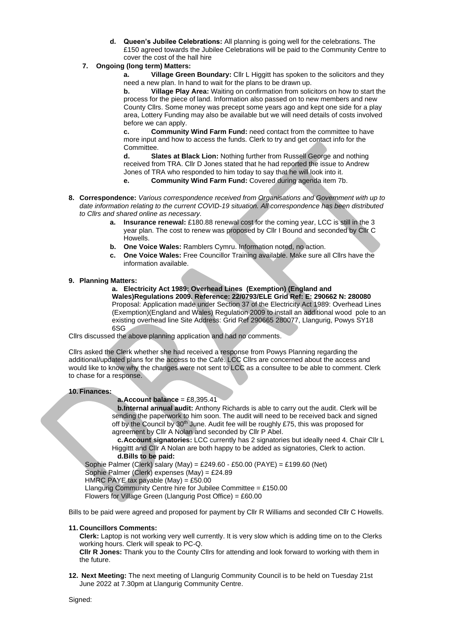- **d. Queen's Jubilee Celebrations:** All planning is going well for the celebrations. The £150 agreed towards the Jubilee Celebrations will be paid to the Community Centre to cover the cost of the hall hire
- **7. Ongoing (long term) Matters:**

**a. Village Green Boundary:** Cllr L Higgitt has spoken to the solicitors and they need a new plan. In hand to wait for the plans to be drawn up.

**b. Village Play Area:** Waiting on confirmation from solicitors on how to start the process for the piece of land. Information also passed on to new members and new County Cllrs. Some money was precept some years ago and kept one side for a play area, Lottery Funding may also be available but we will need details of costs involved before we can apply.

**c. Community Wind Farm Fund:** need contact from the committee to have more input and how to access the funds. Clerk to try and get contact info for the Committee.

**d. Slates at Black Lion:** Nothing further from Russell George and nothing received from TRA. Cllr D Jones stated that he had reported the issue to Andrew Jones of TRA who responded to him today to say that he will look into it.

- **e. Community Wind Farm Fund:** Covered during agenda item 7b.
- **8. Correspondence:** *Various correspondence received from Organisations and Government with up to date information relating to the current COVID-19 situation. All correspondence has been distributed to Cllrs and shared online as necessary.*
	- **a. Insurance renewal:** £180.88 renewal cost for the coming year, LCC is still in the 3 year plan. The cost to renew was proposed by Cllr I Bound and seconded by Cllr C Howells.
	- **b. One Voice Wales:** Ramblers Cymru. Information noted, no action.
	- **c. One Voice Wales:** Free Councillor Training available. Make sure all Cllrs have the information available.

## **9. Planning Matters:**

**a. Electricity Act 1989: Overhead Lines (Exemption) (England and Wales)Regulations 2009. Reference: 22/0793/ELE Grid Ref: E: 290662 N: 280080** Proposal: Application made under Section 37 of the Electricity Act 1989: Overhead Lines (Exemption)(England and Wales) Regulation 2009 to install an additional wood pole to an existing overhead line Site Address: Grid Ref 290665 280077, Llangurig, Powys SY18 6SG

Cllrs discussed the above planning application and had no comments.

Cllrs asked the Clerk whether she had received a response from Powys Planning regarding the additional/updated plans for the access to the Café. LCC Cllrs are concerned about the access and would like to know why the changes were not sent to LCC as a consultee to be able to comment. Clerk to chase for a response.

#### **10. Finances:**

#### **a.Account balance** = £8,395.41

**b.Internal annual audit:** Anthony Richards is able to carry out the audit. Clerk will be sending the paperwork to him soon. The audit will need to be received back and signed off by the Council by 30<sup>th</sup> June. Audit fee will be roughly £75, this was proposed for agreement by Cllr A Nolan and seconded by Cllr P Abel.

**c.Account signatories:** LCC currently has 2 signatories but ideally need 4. Chair Cllr L Higgittt and Cllr A Nolan are both happy to be added as signatories, Clerk to action. **d.Bills to be paid:**

Sophie Palmer (Clerk) salary (May) = £249.60 - £50.00 (PAYE) = £199.60 (Net)

Sophie Palmer (Clerk) expenses (May) = £24.89

HMRC PAYE tax payable (May) = £50.00

Llangurig Community Centre hire for Jubilee Committee = £150.00

Flowers for Village Green (Llangurig Post Office) = £60.00

Bills to be paid were agreed and proposed for payment by Cllr R Williams and seconded Cllr C Howells.

#### **11. Councillors Comments:**

**Clerk:** Laptop is not working very well currently. It is very slow which is adding time on to the Clerks working hours. Clerk will speak to PC-Q.

**Cllr R Jones:** Thank you to the County Cllrs for attending and look forward to working with them in the future.

**12. Next Meeting:** The next meeting of Llangurig Community Council is to be held on Tuesday 21st June 2022 at 7.30pm at Llangurig Community Centre.